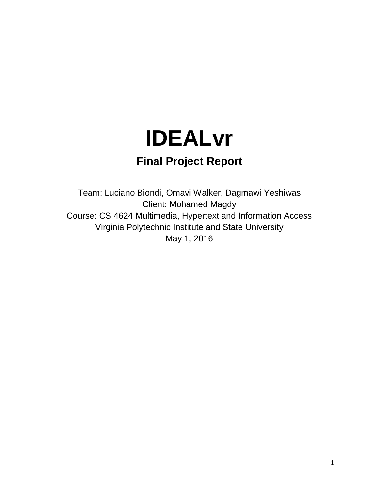# **IDEALvr**

### **Final Project Report**

Team: Luciano Biondi, Omavi Walker, Dagmawi Yeshiwas Client: Mohamed Magdy Course: CS 4624 Multimedia, Hypertext and Information Access Virginia Polytechnic Institute and State University May 1, 2016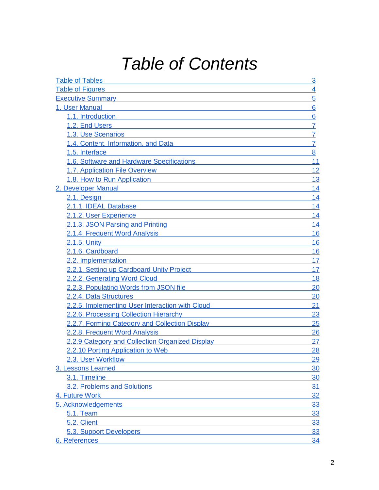# *Table of Contents*

| <b>Table of Tables</b>                          | 3              |
|-------------------------------------------------|----------------|
| <b>Table of Figures</b>                         | 4              |
| <b>Executive Summary</b>                        | 5              |
| 1. User Manual                                  | 6              |
| 1.1. Introduction                               | 6              |
| 1.2. End Users                                  | $\overline{7}$ |
| 1.3. Use Scenarios                              | 7              |
| 1.4. Content, Information, and Data             | $\overline{7}$ |
| 1.5. Interface                                  | 8              |
| 1.6. Software and Hardware Specifications       | 11             |
| 1.7. Application File Overview                  | 12             |
| 1.8. How to Run Application                     | 13             |
| 2. Developer Manual                             | 14             |
| 2.1. Design                                     | 14             |
| 2.1.1. IDEAL Database                           | 14             |
| 2.1.2. User Experience                          | 14             |
| 2.1.3. JSON Parsing and Printing                | 14             |
| 2.1.4. Frequent Word Analysis                   | 16             |
| 2.1.5. Unity                                    | 16             |
| 2.1.6. Cardboard                                | 16             |
| 2.2. Implementation                             | 17             |
| 2.2.1. Setting up Cardboard Unity Project       | 17             |
| 2.2.2. Generating Word Cloud                    | 18             |
| 2.2.3. Populating Words from JSON file          | 20             |
| 2.2.4. Data Structures                          | 20             |
| 2.2.5. Implementing User Interaction with Cloud | 21             |
| 2.2.6. Processing Collection Hierarchy          | 23             |
| 2.2.7. Forming Category and Collection Display  | 25             |
| 2.2.8. Frequent Word Analysis                   | 26             |
| 2.2.9 Category and Collection Organized Display | 27             |
| 2.2.10 Porting Application to Web               | 28             |
| 2.3. User Workflow                              | 29             |
| 3. Lessons Learned                              | 30             |
| 3.1. Timeline                                   | 30             |
| 3.2. Problems and Solutions                     | 31             |
| 4. Future Work                                  | 32             |
| 5. Acknowledgements                             | 33             |
| <b>5.1. Team</b>                                | 33             |
| 5.2. Client                                     | 33             |
| 5.3. Support Developers                         | 33             |
| 6. References                                   | 34             |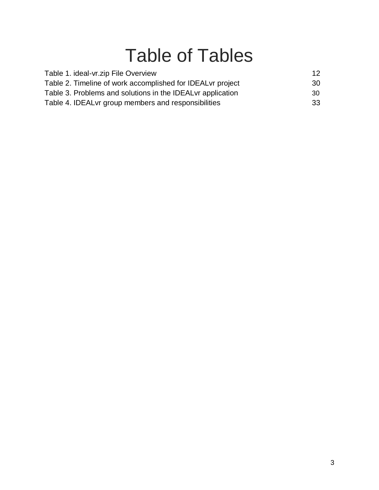# Table of Tables

<span id="page-2-0"></span>

| Table 1. ideal-vr.zip File Overview                         | 12  |
|-------------------------------------------------------------|-----|
| Table 2. Timeline of work accomplished for IDEAL vr project | 30  |
| Table 3. Problems and solutions in the IDEAL vr application | 30. |
| Table 4. IDEAL vr group members and responsibilities        | 33  |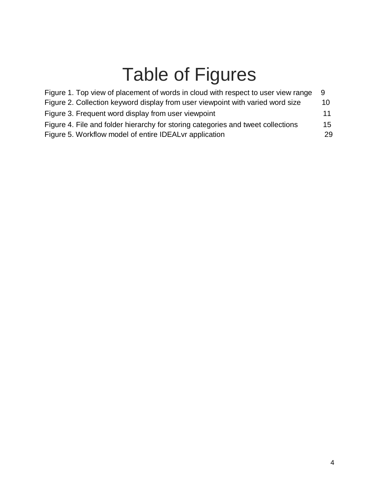# Table of Figures

<span id="page-3-0"></span>

| Figure 1. Top view of placement of words in cloud with respect to user view range | - 9 |
|-----------------------------------------------------------------------------------|-----|
| Figure 2. Collection keyword display from user viewpoint with varied word size    | 10  |
| Figure 3. Frequent word display from user viewpoint                               | 11  |
| Figure 4. File and folder hierarchy for storing categories and tweet collections  | 15  |
| Figure 5. Workflow model of entire IDEAL vr application                           | 29  |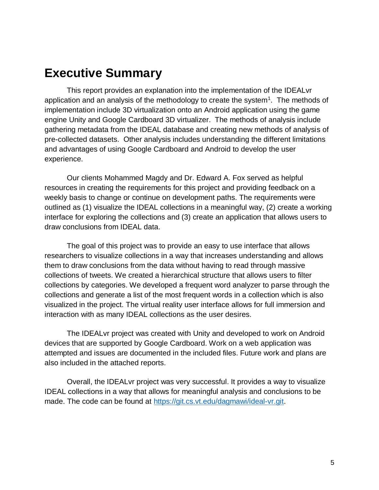## <span id="page-4-0"></span>**Executive Summary**

This report provides an explanation into the implementation of the IDEALvr application and an analysis of the methodology to create the system<sup>1</sup>. The methods of implementation include 3D virtualization onto an Android application using the game engine Unity and Google Cardboard 3D virtualizer. The methods of analysis include gathering metadata from the IDEAL database and creating new methods of analysis of pre-collected datasets. Other analysis includes understanding the different limitations and advantages of using Google Cardboard and Android to develop the user experience.

Our clients Mohammed Magdy and Dr. Edward A. Fox served as helpful resources in creating the requirements for this project and providing feedback on a weekly basis to change or continue on development paths. The requirements were outlined as (1) visualize the IDEAL collections in a meaningful way, (2) create a working interface for exploring the collections and (3) create an application that allows users to draw conclusions from IDEAL data.

The goal of this project was to provide an easy to use interface that allows researchers to visualize collections in a way that increases understanding and allows them to draw conclusions from the data without having to read through massive collections of tweets. We created a hierarchical structure that allows users to filter collections by categories. We developed a frequent word analyzer to parse through the collections and generate a list of the most frequent words in a collection which is also visualized in the project. The virtual reality user interface allows for full immersion and interaction with as many IDEAL collections as the user desires.

The IDEALvr project was created with Unity and developed to work on Android devices that are supported by Google Cardboard. Work on a web application was attempted and issues are documented in the included files. Future work and plans are also included in the attached reports.

Overall, the IDEALvr project was very successful. It provides a way to visualize IDEAL collections in a way that allows for meaningful analysis and conclusions to be made. The code can be found at [https://git.cs.vt.edu/dagmawi/ideal-vr.git.](https://git.cs.vt.edu/dagmawi/ideal-vr.git)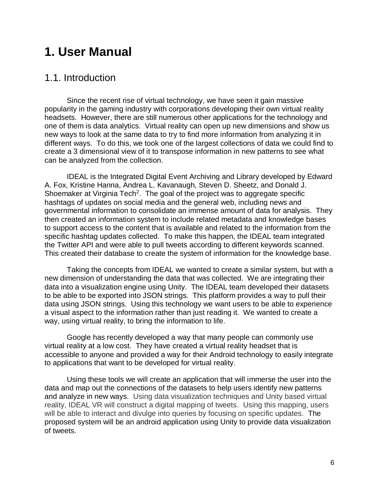### <span id="page-5-0"></span>**1. User Manual**

#### 1.1. Introduction

Since the recent rise of virtual technology, we have seen it gain massive popularity in the gaming industry with corporations developing their own virtual reality headsets. However, there are still numerous other applications for the technology and one of them is data analytics. Virtual reality can open up new dimensions and show us new ways to look at the same data to try to find more information from analyzing it in different ways. To do this, we took one of the largest collections of data we could find to create a 3 dimensional view of it to transpose information in new patterns to see what can be analyzed from the collection.

IDEAL is the Integrated Digital Event Archiving and Library developed by Edward A. Fox, Kristine Hanna, Andrea L. Kavanaugh, Steven D. Sheetz, and Donald J. Shoemaker at Virginia Tech<sup>2</sup>. The goal of the project was to aggregate specific hashtags of updates on social media and the general web, including news and governmental information to consolidate an immense amount of data for analysis. They then created an information system to include related metadata and knowledge bases to support access to the content that is available and related to the information from the specific hashtag updates collected. To make this happen, the IDEAL team integrated the Twitter API and were able to pull tweets according to different keywords scanned. This created their database to create the system of information for the knowledge base.

Taking the concepts from IDEAL we wanted to create a similar system, but with a new dimension of understanding the data that was collected. We are integrating their data into a visualization engine using Unity. The IDEAL team developed their datasets to be able to be exported into JSON strings. This platform provides a way to pull their data using JSON strings. Using this technology we want users to be able to experience a visual aspect to the information rather than just reading it. We wanted to create a way, using virtual reality, to bring the information to life.

Google has recently developed a way that many people can commonly use virtual reality at a low cost. They have created a virtual reality headset that is accessible to anyone and provided a way for their Android technology to easily integrate to applications that want to be developed for virtual reality.

Using these tools we will create an application that will immerse the user into the data and map out the connections of the datasets to help users identify new patterns and analyze in new ways. Using data visualization techniques and Unity based virtual reality, IDEAL VR will construct a digital mapping of tweets. Using this mapping, users will be able to interact and divulge into queries by focusing on specific updates. The proposed system will be an android application using Unity to provide data visualization of tweets.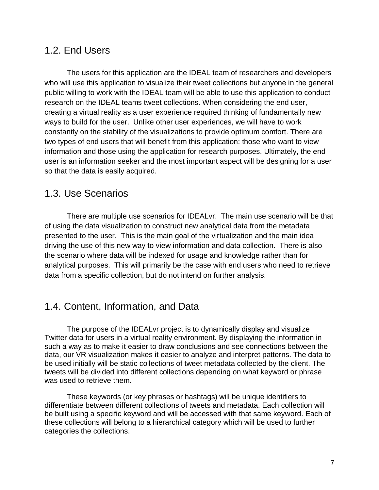#### <span id="page-6-0"></span>1.2. End Users

The users for this application are the IDEAL team of researchers and developers who will use this application to visualize their tweet collections but anyone in the general public willing to work with the IDEAL team will be able to use this application to conduct research on the IDEAL teams tweet collections. When considering the end user, creating a virtual reality as a user experience required thinking of fundamentally new ways to build for the user. Unlike other user experiences, we will have to work constantly on the stability of the visualizations to provide optimum comfort. There are two types of end users that will benefit from this application: those who want to view information and those using the application for research purposes. Ultimately, the end user is an information seeker and the most important aspect will be designing for a user so that the data is easily acquired.

#### <span id="page-6-1"></span>1.3. Use Scenarios

There are multiple use scenarios for IDEALvr. The main use scenario will be that of using the data visualization to construct new analytical data from the metadata presented to the user. This is the main goal of the virtualization and the main idea driving the use of this new way to view information and data collection. There is also the scenario where data will be indexed for usage and knowledge rather than for analytical purposes. This will primarily be the case with end users who need to retrieve data from a specific collection, but do not intend on further analysis.

#### 1.4. Content, Information, and Data

The purpose of the IDEALvr project is to dynamically display and visualize Twitter data for users in a virtual reality environment. By displaying the information in such a way as to make it easier to draw conclusions and see connections between the data, our VR visualization makes it easier to analyze and interpret patterns. The data to be used initially will be static collections of tweet metadata collected by the client. The tweets will be divided into different collections depending on what keyword or phrase was used to retrieve them.

These keywords (or key phrases or hashtags) will be unique identifiers to differentiate between different collections of tweets and metadata. Each collection will be built using a specific keyword and will be accessed with that same keyword. Each of these collections will belong to a hierarchical category which will be used to further categories the collections.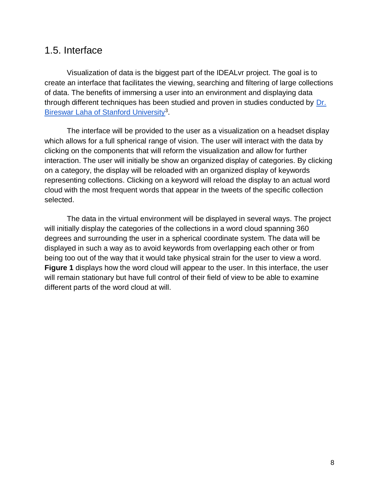#### <span id="page-7-0"></span>1.5. Interface

Visualization of data is the biggest part of the IDEALvr project. The goal is to create an interface that facilitates the viewing, searching and filtering of large collections of data. The benefits of immersing a user into an environment and displaying data through different techniques has been studied and proven in studies conducted by Dr. Bireswar Laha of Stanford University<sup>3</sup>.

The interface will be provided to the user as a visualization on a headset display which allows for a full spherical range of vision. The user will interact with the data by clicking on the components that will reform the visualization and allow for further interaction. The user will initially be show an organized display of categories. By clicking on a category, the display will be reloaded with an organized display of keywords representing collections. Clicking on a keyword will reload the display to an actual word cloud with the most frequent words that appear in the tweets of the specific collection selected.

The data in the virtual environment will be displayed in several ways. The project will initially display the categories of the collections in a word cloud spanning 360 degrees and surrounding the user in a spherical coordinate system. The data will be displayed in such a way as to avoid keywords from overlapping each other or from being too out of the way that it would take physical strain for the user to view a word. **Figure 1** displays how the word cloud will appear to the user. In this interface, the user will remain stationary but have full control of their field of view to be able to examine different parts of the word cloud at will.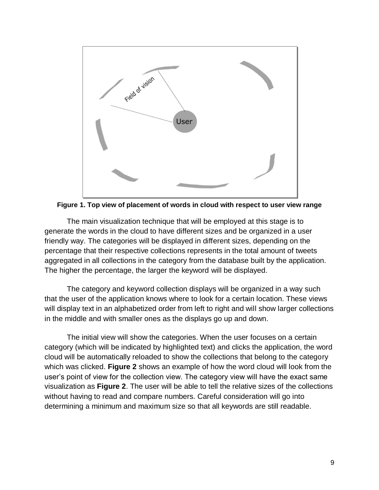

**Figure 1. Top view of placement of words in cloud with respect to user view range**

The main visualization technique that will be employed at this stage is to generate the words in the cloud to have different sizes and be organized in a user friendly way. The categories will be displayed in different sizes, depending on the percentage that their respective collections represents in the total amount of tweets aggregated in all collections in the category from the database built by the application. The higher the percentage, the larger the keyword will be displayed.

The category and keyword collection displays will be organized in a way such that the user of the application knows where to look for a certain location. These views will display text in an alphabetized order from left to right and will show larger collections in the middle and with smaller ones as the displays go up and down.

The initial view will show the categories. When the user focuses on a certain category (which will be indicated by highlighted text) and clicks the application, the word cloud will be automatically reloaded to show the collections that belong to the category which was clicked. **Figure 2** shows an example of how the word cloud will look from the user's point of view for the collection view. The category view will have the exact same visualization as **Figure 2**. The user will be able to tell the relative sizes of the collections without having to read and compare numbers. Careful consideration will go into determining a minimum and maximum size so that all keywords are still readable.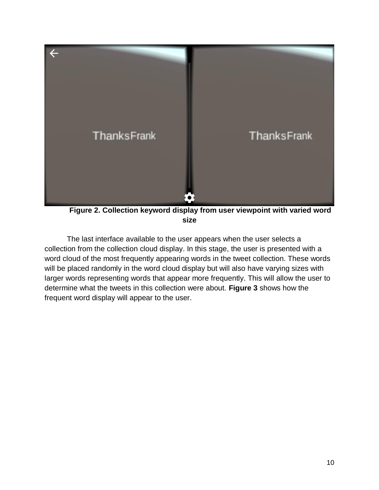

**Figure 2. Collection keyword display from user viewpoint with varied word size**

The last interface available to the user appears when the user selects a collection from the collection cloud display. In this stage, the user is presented with a word cloud of the most frequently appearing words in the tweet collection. These words will be placed randomly in the word cloud display but will also have varying sizes with larger words representing words that appear more frequently. This will allow the user to determine what the tweets in this collection were about. **Figure 3** shows how the frequent word display will appear to the user.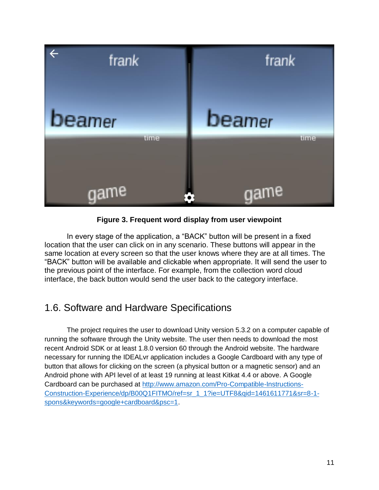

**Figure 3. Frequent word display from user viewpoint**

In every stage of the application, a "BACK" button will be present in a fixed location that the user can click on in any scenario. These buttons will appear in the same location at every screen so that the user knows where they are at all times. The "BACK" button will be available and clickable when appropriate. It will send the user to the previous point of the interface. For example, from the collection word cloud interface, the back button would send the user back to the category interface.

#### 1.6. Software and Hardware Specifications

The project requires the user to download Unity version 5.3.2 on a computer capable of running the software through the Unity website. The user then needs to download the most recent Android SDK or at least 1.8.0 version 60 through the Android website. The hardware necessary for running the IDEALvr application includes a Google Cardboard with any type of button that allows for clicking on the screen (a physical button or a magnetic sensor) and an Android phone with API level of at least 19 running at least Kitkat 4.4 or above. A Google Cardboard can be purchased at [http://www.amazon.com/Pro-Compatible-Instructions-](http://www.amazon.com/Pro-Compatible-Instructions-Construction-Experience/dp/B00Q1FITMO/ref=sr_1_1?ie=UTF8&qid=1461611771&sr=8-1-spons&keywords=google+cardboard&psc=1)[Construction-Experience/dp/B00Q1FITMO/ref=sr\\_1\\_1?ie=UTF8&qid=1461611771&sr=8-1](http://www.amazon.com/Pro-Compatible-Instructions-Construction-Experience/dp/B00Q1FITMO/ref=sr_1_1?ie=UTF8&qid=1461611771&sr=8-1-spons&keywords=google+cardboard&psc=1) [spons&keywords=google+cardboard&psc=1.](http://www.amazon.com/Pro-Compatible-Instructions-Construction-Experience/dp/B00Q1FITMO/ref=sr_1_1?ie=UTF8&qid=1461611771&sr=8-1-spons&keywords=google+cardboard&psc=1)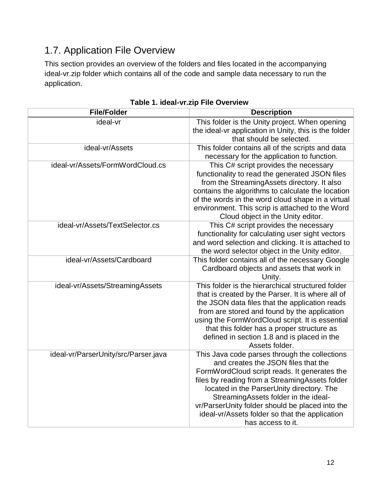### 1.7. Application File Overview

This section provides an overview of the folders and files located in the accompanying ideal-vr.zip folder which contains all of the code and sample data necessary to run the application.

| <b>File/Folder</b>                   | <b>Description</b>                                                                                                                                                                                                                                                                                                                                                                                    |
|--------------------------------------|-------------------------------------------------------------------------------------------------------------------------------------------------------------------------------------------------------------------------------------------------------------------------------------------------------------------------------------------------------------------------------------------------------|
| ideal-vr                             | This folder is the Unity project. When opening<br>the ideal-vr application in Unity, this is the folder<br>that should be selected.                                                                                                                                                                                                                                                                   |
| ideal-vr/Assets                      | This folder contains all of the scripts and data<br>necessary for the application to function.                                                                                                                                                                                                                                                                                                        |
| ideal-vr/Assets/FormWordCloud.cs     | This C# script provides the necessary<br>functionality to read the generated JSON files<br>from the StreamingAssets directory. It also<br>contains the algorithms to calculate the location<br>of the words in the word cloud shape in a virtual<br>environment. This scrip is attached to the Word<br>Cloud object in the Unity editor.                                                              |
| ideal-vr/Assets/TextSelector.cs      | This C# script provides the necessary<br>functionality for calculating user sight vectors<br>and word selection and clicking. It is attached to<br>the word selector object in the Unity editor.                                                                                                                                                                                                      |
| ideal-vr/Assets/Cardboard            | This folder contains all of the necessary Google<br>Cardboard objects and assets that work in<br>Unity.                                                                                                                                                                                                                                                                                               |
| ideal-vr/Assets/StreamingAssets      | This folder is the hierarchical structured folder<br>that is created by the Parser. It is where all of<br>the JSON data files that the application reads<br>from are stored and found by the application<br>using the FormWordCloud script. It is essential<br>that this folder has a proper structure as<br>defined in section 1.8 and is placed in the<br>Assets folder.                            |
| ideal-vr/ParserUnity/src/Parser.java | This Java code parses through the collections<br>and creates the JSON files that the<br>FormWordCloud script reads. It generates the<br>files by reading from a StreamingAssets folder<br>located in the ParserUnity directory. The<br>StreamingAssets folder in the ideal-<br>vr/ParserUnity folder should be placed into the<br>ideal-vr/Assets folder so that the application<br>has access to it. |

**Table 1. ideal-vr.zip File Overview**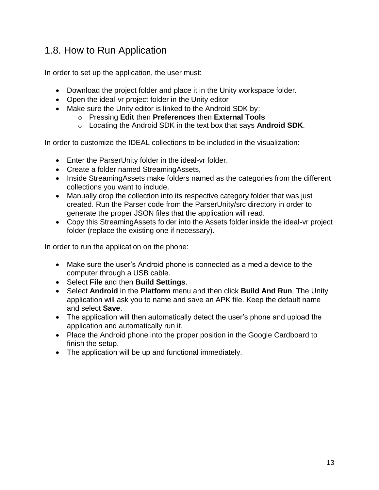### 1.8. How to Run Application

In order to set up the application, the user must:

- Download the project folder and place it in the Unity workspace folder.
- Open the ideal-vr project folder in the Unity editor
- Make sure the Unity editor is linked to the Android SDK by:
	- o Pressing **Edit** then **Preferences** then **External Tools**
		- o Locating the Android SDK in the text box that says **Android SDK**.

In order to customize the IDEAL collections to be included in the visualization:

- Enter the ParserUnity folder in the ideal-vr folder.
- Create a folder named StreamingAssets,
- Inside StreamingAssets make folders named as the categories from the different collections you want to include.
- Manually drop the collection into its respective category folder that was just created. Run the Parser code from the ParserUnity/src directory in order to generate the proper JSON files that the application will read.
- Copy this StreamingAssets folder into the Assets folder inside the ideal-vr project folder (replace the existing one if necessary).

In order to run the application on the phone:

- Make sure the user's Android phone is connected as a media device to the computer through a USB cable.
- Select **File** and then **Build Settings**.
- Select **Android** in the **Platform** menu and then click **Build And Run**. The Unity application will ask you to name and save an APK file. Keep the default name and select **Save**.
- The application will then automatically detect the user's phone and upload the application and automatically run it.
- Place the Android phone into the proper position in the Google Cardboard to finish the setup.
- The application will be up and functional immediately.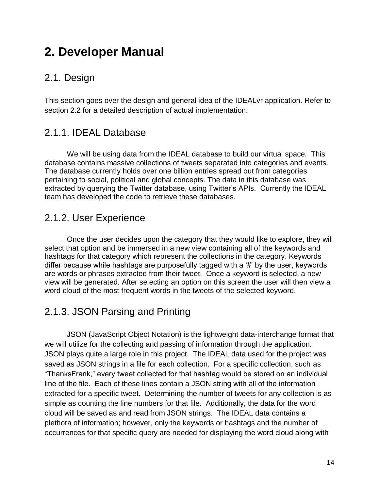# <span id="page-13-0"></span>**2. Developer Manual**

#### 2.1. Design

This section goes over the design and general idea of the IDEALvr application. Refer to section 2.2 for a detailed description of actual implementation.

#### <span id="page-13-1"></span>2.1.1. IDEAL Database

We will be using data from the IDEAL database to build our virtual space. This database contains massive collections of tweets separated into categories and events. The database currently holds over one billion entries spread out from categories pertaining to social, political and global concepts. The data in this database was extracted by querying the Twitter database, using Twitter's APIs. Currently the IDEAL team has developed the code to retrieve these databases.

#### <span id="page-13-2"></span>2.1.2. User Experience

Once the user decides upon the category that they would like to explore, they will select that option and be immersed in a new view containing all of the keywords and hashtags for that category which represent the collections in the category. Keywords differ because while hashtags are purposefully tagged with a '#' by the user, keywords are words or phrases extracted from their tweet. Once a keyword is selected, a new view will be generated. After selecting an option on this screen the user will then view a word cloud of the most frequent words in the tweets of the selected keyword.

#### 2.1.3. JSON Parsing and Printing

JSON (JavaScript Object Notation) is the lightweight data-interchange format that we will utilize for the collecting and passing of information through the application. JSON plays quite a large role in this project. The IDEAL data used for the project was saved as JSON strings in a file for each collection. For a specific collection, such as "ThanksFrank," every tweet collected for that hashtag would be stored on an individual line of the file. Each of these lines contain a JSON string with all of the information extracted for a specific tweet. Determining the number of tweets for any collection is as simple as counting the line numbers for that file. Additionally, the data for the word cloud will be saved as and read from JSON strings. The IDEAL data contains a plethora of information; however, only the keywords or hashtags and the number of occurrences for that specific query are needed for displaying the word cloud along with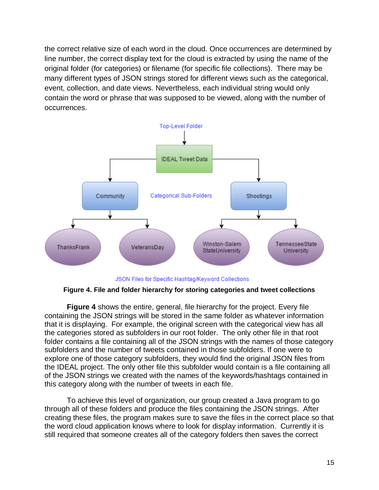the correct relative size of each word in the cloud. Once occurrences are determined by line number, the correct display text for the cloud is extracted by using the name of the original folder (for categories) or filename (for specific file collections). There may be many different types of JSON strings stored for different views such as the categorical, event, collection, and date views. Nevertheless, each individual string would only contain the word or phrase that was supposed to be viewed, along with the number of occurrences.



JSON Files for Specific Hashtag/Keyword Collections

**Figure 4. File and folder hierarchy for storing categories and tweet collections**

**Figure 4** shows the entire, general, file hierarchy for the project. Every file containing the JSON strings will be stored in the same folder as whatever information that it is displaying. For example, the original screen with the categorical view has all the categories stored as subfolders in our root folder. The only other file in that root folder contains a file containing all of the JSON strings with the names of those category subfolders and the number of tweets contained in those subfolders. If one were to explore one of those category subfolders, they would find the original JSON files from the IDEAL project. The only other file this subfolder would contain is a file containing all of the JSON strings we created with the names of the keywords/hashtags contained in this category along with the number of tweets in each file.

To achieve this level of organization, our group created a Java program to go through all of these folders and produce the files containing the JSON strings. After creating these files, the program makes sure to save the files in the correct place so that the word cloud application knows where to look for display information. Currently it is still required that someone creates all of the category folders then saves the correct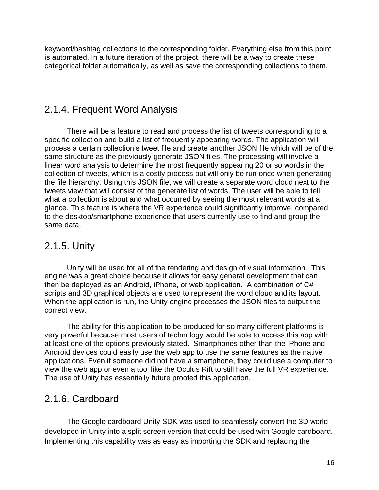keyword/hashtag collections to the corresponding folder. Everything else from this point is automated. In a future iteration of the project, there will be a way to create these categorical folder automatically, as well as save the corresponding collections to them.

#### <span id="page-15-0"></span>2.1.4. Frequent Word Analysis

There will be a feature to read and process the list of tweets corresponding to a specific collection and build a list of frequently appearing words. The application will process a certain collection's tweet file and create another JSON file which will be of the same structure as the previously generate JSON files. The processing will involve a linear word analysis to determine the most frequently appearing 20 or so words in the collection of tweets, which is a costly process but will only be run once when generating the file hierarchy. Using this JSON file, we will create a separate word cloud next to the tweets view that will consist of the generate list of words. The user will be able to tell what a collection is about and what occurred by seeing the most relevant words at a glance. This feature is where the VR experience could significantly improve, compared to the desktop/smartphone experience that users currently use to find and group the same data.

#### <span id="page-15-1"></span>2.1.5. Unity

Unity will be used for all of the rendering and design of visual information. This engine was a great choice because it allows for easy general development that can then be deployed as an Android, iPhone, or web application. A combination of C# scripts and 3D graphical objects are used to represent the word cloud and its layout. When the application is run, the Unity engine processes the JSON files to output the correct view.

The ability for this application to be produced for so many different platforms is very powerful because most users of technology would be able to access this app with at least one of the options previously stated. Smartphones other than the iPhone and Android devices could easily use the web app to use the same features as the native applications. Even if someone did not have a smartphone, they could use a computer to view the web app or even a tool like the Oculus Rift to still have the full VR experience. The use of Unity has essentially future proofed this application.

#### <span id="page-15-2"></span>2.1.6. Cardboard

The Google cardboard Unity SDK was used to seamlessly convert the 3D world developed in Unity into a split screen version that could be used with Google cardboard. Implementing this capability was as easy as importing the SDK and replacing the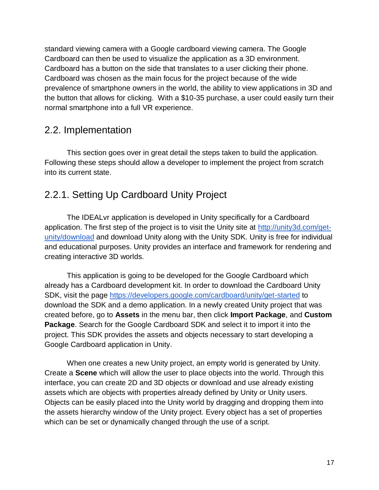standard viewing camera with a Google cardboard viewing camera. The Google Cardboard can then be used to visualize the application as a 3D environment. Cardboard has a button on the side that translates to a user clicking their phone. Cardboard was chosen as the main focus for the project because of the wide prevalence of smartphone owners in the world, the ability to view applications in 3D and the button that allows for clicking. With a \$10-35 purchase, a user could easily turn their normal smartphone into a full VR experience.

#### 2.2. Implementation

This section goes over in great detail the steps taken to build the application. Following these steps should allow a developer to implement the project from scratch into its current state.

#### 2.2.1. Setting Up Cardboard Unity Project

The IDEALvr application is developed in Unity specifically for a Cardboard application. The first step of the project is to visit the Unity site at [http://unity3d.com/get](http://unity3d.com/get-unity/download)[unity/download](http://unity3d.com/get-unity/download) and download Unity along with the Unity SDK. Unity is free for individual and educational purposes. Unity provides an interface and framework for rendering and creating interactive 3D worlds.

This application is going to be developed for the Google Cardboard which already has a Cardboard development kit. In order to download the Cardboard Unity SDK, visit the page<https://developers.google.com/cardboard/unity/get-started> to download the SDK and a demo application. In a newly created Unity project that was created before, go to **Assets** in the menu bar, then click **Import Package**, and **Custom Package**. Search for the Google Cardboard SDK and select it to import it into the project. This SDK provides the assets and objects necessary to start developing a Google Cardboard application in Unity.

When one creates a new Unity project, an empty world is generated by Unity. Create a **Scene** which will allow the user to place objects into the world. Through this interface, you can create 2D and 3D objects or download and use already existing assets which are objects with properties already defined by Unity or Unity users. Objects can be easily placed into the Unity world by dragging and dropping them into the assets hierarchy window of the Unity project. Every object has a set of properties which can be set or dynamically changed through the use of a script.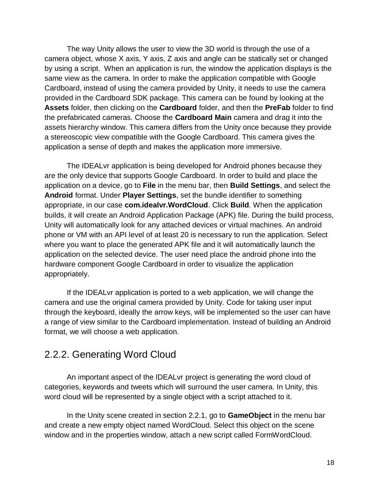The way Unity allows the user to view the 3D world is through the use of a camera object, whose X axis, Y axis, Z axis and angle can be statically set or changed by using a script. When an application is run, the window the application displays is the same view as the camera. In order to make the application compatible with Google Cardboard, instead of using the camera provided by Unity, it needs to use the camera provided in the Cardboard SDK package. This camera can be found by looking at the **Assets** folder, then clicking on the **Cardboard** folder, and then the **PreFab** folder to find the prefabricated cameras. Choose the **Cardboard Main** camera and drag it into the assets hierarchy window. This camera differs from the Unity once because they provide a stereoscopic view compatible with the Google Cardboard. This camera gives the application a sense of depth and makes the application more immersive.

The IDEALvr application is being developed for Android phones because they are the only device that supports Google Cardboard. In order to build and place the application on a device, go to **File** in the menu bar, then **Build Settings**, and select the **Android** format. Under **Player Settings**, set the bundle identifier to something appropriate, in our case **com.idealvr.WordCloud**. Click **Build**. When the application builds, it will create an Android Application Package (APK) file. During the build process, Unity will automatically look for any attached devices or virtual machines. An android phone or VM with an API level of at least 20 is necessary to run the application. Select where you want to place the generated APK file and it will automatically launch the application on the selected device. The user need place the android phone into the hardware component Google Cardboard in order to visualize the application appropriately.

If the IDEALvr application is ported to a web application, we will change the camera and use the original camera provided by Unity. Code for taking user input through the keyboard, ideally the arrow keys, will be implemented so the user can have a range of view similar to the Cardboard implementation. Instead of building an Android format, we will choose a web application.

#### 2.2.2. Generating Word Cloud

An important aspect of the IDEALvr project is generating the word cloud of categories, keywords and tweets which will surround the user camera. In Unity, this word cloud will be represented by a single object with a script attached to it.

In the Unity scene created in section 2.2.1, go to **GameObject** in the menu bar and create a new empty object named WordCloud. Select this object on the scene window and in the properties window, attach a new script called FormWordCloud.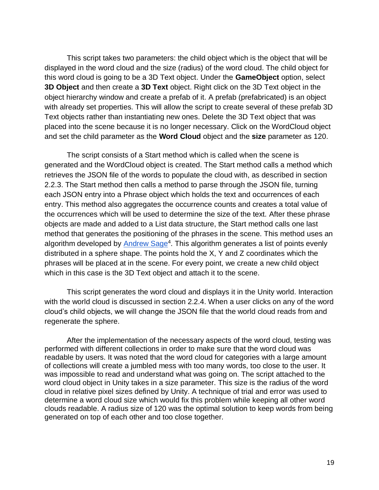This script takes two parameters: the child object which is the object that will be displayed in the word cloud and the size (radius) of the word cloud. The child object for this word cloud is going to be a 3D Text object. Under the **GameObject** option, select **3D Object** and then create a **3D Text** object. Right click on the 3D Text object in the object hierarchy window and create a prefab of it. A prefab (prefabricated) is an object with already set properties. This will allow the script to create several of these prefab 3D Text objects rather than instantiating new ones. Delete the 3D Text object that was placed into the scene because it is no longer necessary. Click on the WordCloud object and set the child parameter as the **Word Cloud** object and the **size** parameter as 120.

The script consists of a Start method which is called when the scene is generated and the WordCloud object is created. The Start method calls a method which retrieves the JSON file of the words to populate the cloud with, as described in section 2.2.3. The Start method then calls a method to parse through the JSON file, turning each JSON entry into a Phrase object which holds the text and occurrences of each entry. This method also aggregates the occurrence counts and creates a total value of the occurrences which will be used to determine the size of the text. After these phrase objects are made and added to a List data structure, the Start method calls one last method that generates the positioning of the phrases in the scene. This method uses an algorithm developed by Andrew Sage<sup>4</sup>. This algorithm generates a list of points evenly distributed in a sphere shape. The points hold the X, Y and Z coordinates which the phrases will be placed at in the scene. For every point, we create a new child object which in this case is the 3D Text object and attach it to the scene.

This script generates the word cloud and displays it in the Unity world. Interaction with the world cloud is discussed in section 2.2.4. When a user clicks on any of the word cloud's child objects, we will change the JSON file that the world cloud reads from and regenerate the sphere.

After the implementation of the necessary aspects of the word cloud, testing was performed with different collections in order to make sure that the word cloud was readable by users. It was noted that the word cloud for categories with a large amount of collections will create a jumbled mess with too many words, too close to the user. It was impossible to read and understand what was going on. The script attached to the word cloud object in Unity takes in a size parameter. This size is the radius of the word cloud in relative pixel sizes defined by Unity. A technique of trial and error was used to determine a word cloud size which would fix this problem while keeping all other word clouds readable. A radius size of 120 was the optimal solution to keep words from being generated on top of each other and too close together.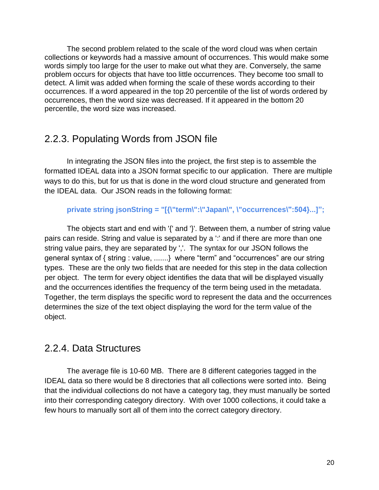The second problem related to the scale of the word cloud was when certain collections or keywords had a massive amount of occurrences. This would make some words simply too large for the user to make out what they are. Conversely, the same problem occurs for objects that have too little occurrences. They become too small to detect. A limit was added when forming the scale of these words according to their occurrences. If a word appeared in the top 20 percentile of the list of words ordered by occurrences, then the word size was decreased. If it appeared in the bottom 20 percentile, the word size was increased.

#### <span id="page-19-0"></span>2.2.3. Populating Words from JSON file

In integrating the JSON files into the project, the first step is to assemble the formatted IDEAL data into a JSON format specific to our application. There are multiple ways to do this, but for us that is done in the word cloud structure and generated from the IDEAL data. Our JSON reads in the following format:

#### **private string jsonString = "[{\"term\":\"Japan\", \"occurrences\":504}...]";**

The objects start and end with '{' and '}'. Between them, a number of string value pairs can reside. String and value is separated by a " and if there are more than one string value pairs, they are separated by ','. The syntax for our JSON follows the general syntax of { string : value, .......} where "term" and "occurrences" are our string types. These are the only two fields that are needed for this step in the data collection per object. The term for every object identifies the data that will be displayed visually and the occurrences identifies the frequency of the term being used in the metadata. Together, the term displays the specific word to represent the data and the occurrences determines the size of the text object displaying the word for the term value of the object.

#### <span id="page-19-1"></span>2.2.4. Data Structures

The average file is 10-60 MB. There are 8 different categories tagged in the IDEAL data so there would be 8 directories that all collections were sorted into. Being that the individual collections do not have a category tag, they must manually be sorted into their corresponding category directory. With over 1000 collections, it could take a few hours to manually sort all of them into the correct category directory.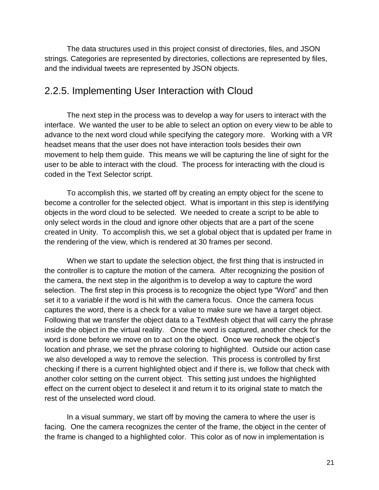The data structures used in this project consist of directories, files, and JSON strings. Categories are represented by directories, collections are represented by files, and the individual tweets are represented by JSON objects.

#### 2.2.5. Implementing User Interaction with Cloud

The next step in the process was to develop a way for users to interact with the interface. We wanted the user to be able to select an option on every view to be able to advance to the next word cloud while specifying the category more. Working with a VR headset means that the user does not have interaction tools besides their own movement to help them guide. This means we will be capturing the line of sight for the user to be able to interact with the cloud. The process for interacting with the cloud is coded in the Text Selector script.

To accomplish this, we started off by creating an empty object for the scene to become a controller for the selected object. What is important in this step is identifying objects in the word cloud to be selected. We needed to create a script to be able to only select words in the cloud and ignore other objects that are a part of the scene created in Unity. To accomplish this, we set a global object that is updated per frame in the rendering of the view, which is rendered at 30 frames per second.

When we start to update the selection object, the first thing that is instructed in the controller is to capture the motion of the camera. After recognizing the position of the camera, the next step in the algorithm is to develop a way to capture the word selection. The first step in this process is to recognize the object type "Word" and then set it to a variable if the word is hit with the camera focus. Once the camera focus captures the word, there is a check for a value to make sure we have a target object. Following that we transfer the object data to a TextMesh object that will carry the phrase inside the object in the virtual reality. Once the word is captured, another check for the word is done before we move on to act on the object. Once we recheck the object's location and phrase, we set the phrase coloring to highlighted. Outside our action case we also developed a way to remove the selection. This process is controlled by first checking if there is a current highlighted object and if there is, we follow that check with another color setting on the current object. This setting just undoes the highlighted effect on the current object to deselect it and return it to its original state to match the rest of the unselected word cloud.

In a visual summary, we start off by moving the camera to where the user is facing. One the camera recognizes the center of the frame, the object in the center of the frame is changed to a highlighted color. This color as of now in implementation is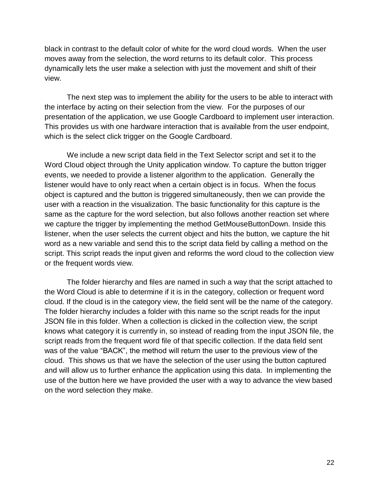black in contrast to the default color of white for the word cloud words. When the user moves away from the selection, the word returns to its default color. This process dynamically lets the user make a selection with just the movement and shift of their view.

The next step was to implement the ability for the users to be able to interact with the interface by acting on their selection from the view. For the purposes of our presentation of the application, we use Google Cardboard to implement user interaction. This provides us with one hardware interaction that is available from the user endpoint, which is the select click trigger on the Google Cardboard.

We include a new script data field in the Text Selector script and set it to the Word Cloud object through the Unity application window. To capture the button trigger events, we needed to provide a listener algorithm to the application. Generally the listener would have to only react when a certain object is in focus. When the focus object is captured and the button is triggered simultaneously, then we can provide the user with a reaction in the visualization. The basic functionality for this capture is the same as the capture for the word selection, but also follows another reaction set where we capture the trigger by implementing the method GetMouseButtonDown. Inside this listener, when the user selects the current object and hits the button, we capture the hit word as a new variable and send this to the script data field by calling a method on the script. This script reads the input given and reforms the word cloud to the collection view or the frequent words view.

The folder hierarchy and files are named in such a way that the script attached to the Word Cloud is able to determine if it is in the category, collection or frequent word cloud. If the cloud is in the category view, the field sent will be the name of the category. The folder hierarchy includes a folder with this name so the script reads for the input JSON file in this folder. When a collection is clicked in the collection view, the script knows what category it is currently in, so instead of reading from the input JSON file, the script reads from the frequent word file of that specific collection. If the data field sent was of the value "BACK", the method will return the user to the previous view of the cloud. This shows us that we have the selection of the user using the button captured and will allow us to further enhance the application using this data. In implementing the use of the button here we have provided the user with a way to advance the view based on the word selection they make.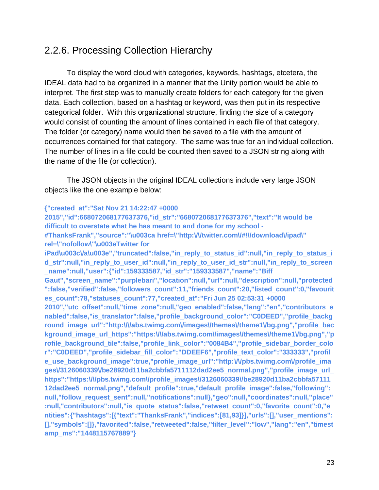#### 2.2.6. Processing Collection Hierarchy

To display the word cloud with categories, keywords, hashtags, etcetera, the IDEAL data had to be organized in a manner that the Unity portion would be able to interpret. The first step was to manually create folders for each category for the given data. Each collection, based on a hashtag or keyword, was then put in its respective categorical folder. With this organizational structure, finding the size of a category would consist of counting the amount of lines contained in each file of that category. The folder (or category) name would then be saved to a file with the amount of occurrences contained for that category. The same was true for an individual collection. The number of lines in a file could be counted then saved to a JSON string along with the name of the file (or collection).

The JSON objects in the original IDEAL collections include very large JSON objects like the one example below:

#### **{"created\_at":"Sat Nov 21 14:22:47 +0000**

**2015","id":668072068177637376,"id\_str":"668072068177637376","text":"It would be difficult to overstate what he has meant to and done for my school - #ThanksFrank","source":"\u003ca href=\"http:\/\/twitter.com\/#!\/download\/ipad\" rel=\"nofollow\"\u003eTwitter for** 

iPad\u003cVa\u003e","truncated":false,"in\_reply\_to\_status\_id":null,"in\_reply\_to\_status\_i **d\_str":null,"in\_reply\_to\_user\_id":null,"in\_reply\_to\_user\_id\_str":null,"in\_reply\_to\_screen \_name":null,"user":{"id":159333587,"id\_str":"159333587","name":"Biff** 

**Gaut","screen\_name":"purplebari","location":null,"url":null,"description":null,"protected ":false,"verified":false,"followers\_count":11,"friends\_count":20,"listed\_count":0,"favourit es\_count":78,"statuses\_count":77,"created\_at":"Fri Jun 25 02:53:31 +0000** 

**2010","utc\_offset":null,"time\_zone":null,"geo\_enabled":false,"lang":"en","contributors\_e nabled":false,"is\_translator":false,"profile\_background\_color":"C0DEED","profile\_backg** round\_image\_url":"http:\/\abs.twimg.com\/images\/themes\/theme1\/bg.png","profile\_bac kground\_image\_url\_https":"https:\/\abs.twimg.com\/images\/themes\/theme1\/bg.png","p **rofile\_background\_tile":false,"profile\_link\_color":"0084B4","profile\_sidebar\_border\_colo r":"C0DEED","profile\_sidebar\_fill\_color":"DDEEF6","profile\_text\_color":"333333","profil e\_use\_background\_image":true,"profile\_image\_url":"http:\/\/pbs.twimg.com\/profile\_ima ges\/3126060339\/be28920d11ba2cbbfa5711112dad2ee5\_normal.png","profile\_image\_url\_ https":"https:\/\/pbs.twimg.com\/profile\_images\/3126060339\/be28920d11ba2cbbfa57111 12dad2ee5\_normal.png","default\_profile":true,"default\_profile\_image":false,"following": null,"follow\_request\_sent":null,"notifications":null},"geo":null,"coordinates":null,"place" :null,"contributors":null,"is\_quote\_status":false,"retweet\_count":0,"favorite\_count":0,"e ntities":{"hashtags":[{"text":"ThanksFrank","indices":[81,93]}],"urls":[],"user\_mentions": [],"symbols":[]},"favorited":false,"retweeted":false,"filter\_level":"low","lang":"en","timest amp\_ms":"1448115767889"}**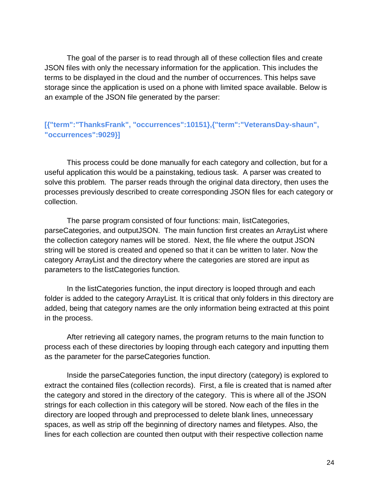The goal of the parser is to read through all of these collection files and create JSON files with only the necessary information for the application. This includes the terms to be displayed in the cloud and the number of occurrences. This helps save storage since the application is used on a phone with limited space available. Below is an example of the JSON file generated by the parser:

**[{"term":"ThanksFrank", "occurrences":10151},{"term":"VeteransDay-shaun", "occurrences":9029}]**

This process could be done manually for each category and collection, but for a useful application this would be a painstaking, tedious task. A parser was created to solve this problem. The parser reads through the original data directory, then uses the processes previously described to create corresponding JSON files for each category or collection.

The parse program consisted of four functions: main, listCategories, parseCategories, and outputJSON. The main function first creates an ArrayList where the collection category names will be stored. Next, the file where the output JSON string will be stored is created and opened so that it can be written to later. Now the category ArrayList and the directory where the categories are stored are input as parameters to the listCategories function.

In the listCategories function, the input directory is looped through and each folder is added to the category ArrayList. It is critical that only folders in this directory are added, being that category names are the only information being extracted at this point in the process.

After retrieving all category names, the program returns to the main function to process each of these directories by looping through each category and inputting them as the parameter for the parseCategories function.

Inside the parseCategories function, the input directory (category) is explored to extract the contained files (collection records). First, a file is created that is named after the category and stored in the directory of the category. This is where all of the JSON strings for each collection in this category will be stored. Now each of the files in the directory are looped through and preprocessed to delete blank lines, unnecessary spaces, as well as strip off the beginning of directory names and filetypes. Also, the lines for each collection are counted then output with their respective collection name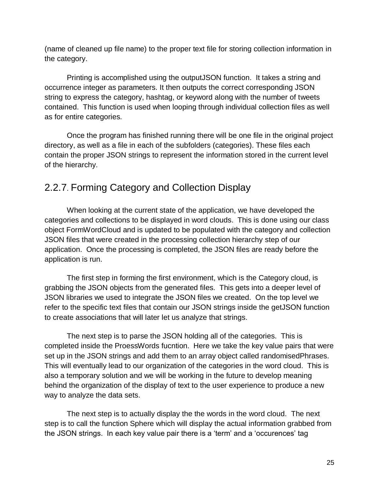(name of cleaned up file name) to the proper text file for storing collection information in the category.

Printing is accomplished using the outputJSON function. It takes a string and occurrence integer as parameters. It then outputs the correct corresponding JSON string to express the category, hashtag, or keyword along with the number of tweets contained. This function is used when looping through individual collection files as well as for entire categories.

Once the program has finished running there will be one file in the original project directory, as well as a file in each of the subfolders (categories). These files each contain the proper JSON strings to represent the information stored in the current level of the hierarchy.

#### 2.2.7. Forming Category and Collection Display

When looking at the current state of the application, we have developed the categories and collections to be displayed in word clouds. This is done using our class object FormWordCloud and is updated to be populated with the category and collection JSON files that were created in the processing collection hierarchy step of our application. Once the processing is completed, the JSON files are ready before the application is run.

The first step in forming the first environment, which is the Category cloud, is grabbing the JSON objects from the generated files. This gets into a deeper level of JSON libraries we used to integrate the JSON files we created. On the top level we refer to the specific text files that contain our JSON strings inside the getJSON function to create associations that will later let us analyze that strings.

The next step is to parse the JSON holding all of the categories. This is completed inside the ProessWords fucntion. Here we take the key value pairs that were set up in the JSON strings and add them to an array object called randomisedPhrases. This will eventually lead to our organization of the categories in the word cloud. This is also a temporary solution and we will be working in the future to develop meaning behind the organization of the display of text to the user experience to produce a new way to analyze the data sets.

The next step is to actually display the the words in the word cloud. The next step is to call the function Sphere which will display the actual information grabbed from the JSON strings. In each key value pair there is a 'term' and a 'occurences' tag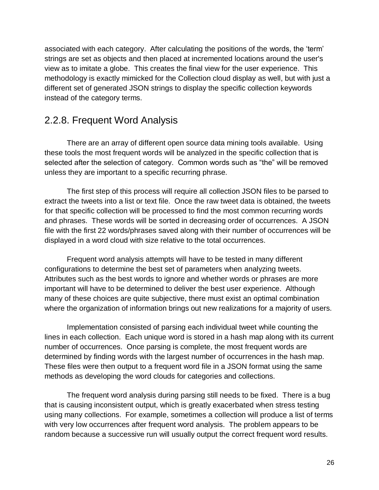associated with each category. After calculating the positions of the words, the 'term' strings are set as objects and then placed at incremented locations around the user's view as to imitate a globe. This creates the final view for the user experience. This methodology is exactly mimicked for the Collection cloud display as well, but with just a different set of generated JSON strings to display the specific collection keywords instead of the category terms.

#### 2.2.8. Frequent Word Analysis

There are an array of different open source data mining tools available. Using these tools the most frequent words will be analyzed in the specific collection that is selected after the selection of category. Common words such as "the" will be removed unless they are important to a specific recurring phrase.

The first step of this process will require all collection JSON files to be parsed to extract the tweets into a list or text file. Once the raw tweet data is obtained, the tweets for that specific collection will be processed to find the most common recurring words and phrases. These words will be sorted in decreasing order of occurrences. A JSON file with the first 22 words/phrases saved along with their number of occurrences will be displayed in a word cloud with size relative to the total occurrences.

Frequent word analysis attempts will have to be tested in many different configurations to determine the best set of parameters when analyzing tweets. Attributes such as the best words to ignore and whether words or phrases are more important will have to be determined to deliver the best user experience. Although many of these choices are quite subjective, there must exist an optimal combination where the organization of information brings out new realizations for a majority of users.

Implementation consisted of parsing each individual tweet while counting the lines in each collection. Each unique word is stored in a hash map along with its current number of occurrences. Once parsing is complete, the most frequent words are determined by finding words with the largest number of occurrences in the hash map. These files were then output to a frequent word file in a JSON format using the same methods as developing the word clouds for categories and collections.

The frequent word analysis during parsing still needs to be fixed. There is a bug that is causing inconsistent output, which is greatly exacerbated when stress testing using many collections. For example, sometimes a collection will produce a list of terms with very low occurrences after frequent word analysis. The problem appears to be random because a successive run will usually output the correct frequent word results.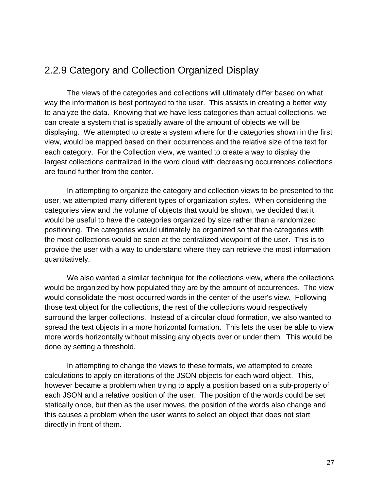#### <span id="page-26-0"></span>2.2.9 Category and Collection Organized Display

The views of the categories and collections will ultimately differ based on what way the information is best portrayed to the user. This assists in creating a better way to analyze the data. Knowing that we have less categories than actual collections, we can create a system that is spatially aware of the amount of objects we will be displaying. We attempted to create a system where for the categories shown in the first view, would be mapped based on their occurrences and the relative size of the text for each category. For the Collection view, we wanted to create a way to display the largest collections centralized in the word cloud with decreasing occurrences collections are found further from the center.

In attempting to organize the category and collection views to be presented to the user, we attempted many different types of organization styles. When considering the categories view and the volume of objects that would be shown, we decided that it would be useful to have the categories organized by size rather than a randomized positioning. The categories would ultimately be organized so that the categories with the most collections would be seen at the centralized viewpoint of the user. This is to provide the user with a way to understand where they can retrieve the most information quantitatively.

We also wanted a similar technique for the collections view, where the collections would be organized by how populated they are by the amount of occurrences. The view would consolidate the most occurred words in the center of the user's view. Following those text object for the collections, the rest of the collections would respectively surround the larger collections. Instead of a circular cloud formation, we also wanted to spread the text objects in a more horizontal formation. This lets the user be able to view more words horizontally without missing any objects over or under them. This would be done by setting a threshold.

In attempting to change the views to these formats, we attempted to create calculations to apply on iterations of the JSON objects for each word object. This, however became a problem when trying to apply a position based on a sub-property of each JSON and a relative position of the user. The position of the words could be set statically once, but then as the user moves, the position of the words also change and this causes a problem when the user wants to select an object that does not start directly in front of them.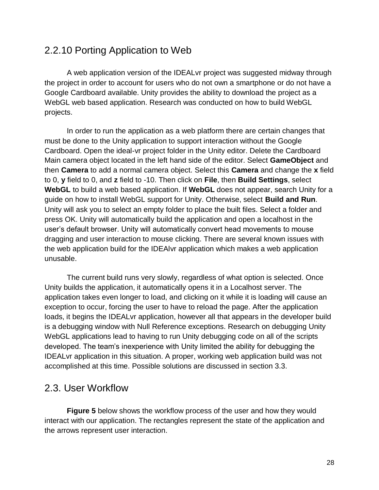#### 2.2.10 Porting Application to Web

A web application version of the IDEALvr project was suggested midway through the project in order to account for users who do not own a smartphone or do not have a Google Cardboard available. Unity provides the ability to download the project as a WebGL web based application. Research was conducted on how to build WebGL projects.

In order to run the application as a web platform there are certain changes that must be done to the Unity application to support interaction without the Google Cardboard. Open the ideal-vr project folder in the Unity editor. Delete the Cardboard Main camera object located in the left hand side of the editor. Select **GameObject** and then **Camera** to add a normal camera object. Select this **Camera** and change the **x** field to 0, **y** field to 0, and **z** field to -10. Then click on **File**, then **Build Settings**, select **WebGL** to build a web based application. If **WebGL** does not appear, search Unity for a guide on how to install WebGL support for Unity. Otherwise, select **Build and Run**. Unity will ask you to select an empty folder to place the built files. Select a folder and press OK. Unity will automatically build the application and open a localhost in the user's default browser. Unity will automatically convert head movements to mouse dragging and user interaction to mouse clicking. There are several known issues with the web application build for the IDEAlvr application which makes a web application unusable.

The current build runs very slowly, regardless of what option is selected. Once Unity builds the application, it automatically opens it in a Localhost server. The application takes even longer to load, and clicking on it while it is loading will cause an exception to occur, forcing the user to have to reload the page. After the application loads, it begins the IDEALvr application, however all that appears in the developer build is a debugging window with Null Reference exceptions. Research on debugging Unity WebGL applications lead to having to run Unity debugging code on all of the scripts developed. The team's inexperience with Unity limited the ability for debugging the IDEALvr application in this situation. A proper, working web application build was not accomplished at this time. Possible solutions are discussed in section 3.3.

#### 2.3. User Workflow

**Figure 5** below shows the workflow process of the user and how they would interact with our application. The rectangles represent the state of the application and the arrows represent user interaction.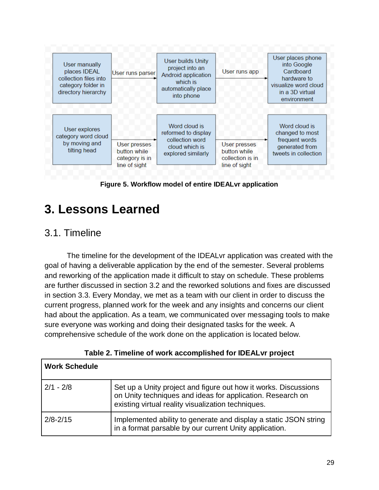

**Figure 5. Workflow model of entire IDEALvr application**

# <span id="page-28-0"></span>**3. Lessons Learned**

#### 3.1. Timeline

The timeline for the development of the IDEALvr application was created with the goal of having a deliverable application by the end of the semester. Several problems and reworking of the application made it difficult to stay on schedule. These problems are further discussed in section 3.2 and the reworked solutions and fixes are discussed in section 3.3. Every Monday, we met as a team with our client in order to discuss the current progress, planned work for the week and any insights and concerns our client had about the application. As a team, we communicated over messaging tools to make sure everyone was working and doing their designated tasks for the week. A comprehensive schedule of the work done on the application is located below.

| <b>Work Schedule</b> |                                                                                                                                                                                     |
|----------------------|-------------------------------------------------------------------------------------------------------------------------------------------------------------------------------------|
| $2/1 - 2/8$          | Set up a Unity project and figure out how it works. Discussions<br>on Unity techniques and ideas for application. Research on<br>existing virtual reality visualization techniques. |
| $2/8 - 2/15$         | Implemented ability to generate and display a static JSON string<br>in a format parsable by our current Unity application.                                                          |

**Table 2. Timeline of work accomplished for IDEALvr project**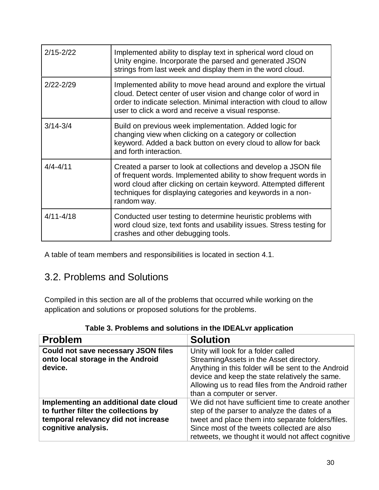| $2/15 - 2/22$ | Implemented ability to display text in spherical word cloud on<br>Unity engine. Incorporate the parsed and generated JSON<br>strings from last week and display them in the word cloud.                                                                                                |
|---------------|----------------------------------------------------------------------------------------------------------------------------------------------------------------------------------------------------------------------------------------------------------------------------------------|
| $2/22 - 2/29$ | Implemented ability to move head around and explore the virtual<br>cloud. Detect center of user vision and change color of word in<br>order to indicate selection. Minimal interaction with cloud to allow<br>user to click a word and receive a visual response.                      |
| $3/14 - 3/4$  | Build on previous week implementation. Added logic for<br>changing view when clicking on a category or collection<br>keyword. Added a back button on every cloud to allow for back<br>and forth interaction.                                                                           |
| $4/4 - 4/11$  | Created a parser to look at collections and develop a JSON file<br>of frequent words. Implemented ability to show frequent words in<br>word cloud after clicking on certain keyword. Attempted different<br>techniques for displaying categories and keywords in a non-<br>random way. |
| $4/11 - 4/18$ | Conducted user testing to determine heuristic problems with<br>word cloud size, text fonts and usability issues. Stress testing for<br>crashes and other debugging tools.                                                                                                              |

A table of team members and responsibilities is located in section 4.1.

#### 3.2. Problems and Solutions

Compiled in this section are all of the problems that occurred while working on the application and solutions or proposed solutions for the problems.

| <b>Problem</b>                                                                                                                              | <b>Solution</b>                                                                                                                                                                                                                                                            |
|---------------------------------------------------------------------------------------------------------------------------------------------|----------------------------------------------------------------------------------------------------------------------------------------------------------------------------------------------------------------------------------------------------------------------------|
| <b>Could not save necessary JSON files</b><br>onto local storage in the Android<br>device.                                                  | Unity will look for a folder called<br>StreamingAssets in the Asset directory.<br>Anything in this folder will be sent to the Android<br>device and keep the state relatively the same.<br>Allowing us to read files from the Android rather<br>than a computer or server. |
| Implementing an additional date cloud<br>to further filter the collections by<br>temporal relevancy did not increase<br>cognitive analysis. | We did not have sufficient time to create another<br>step of the parser to analyze the dates of a<br>tweet and place them into separate folders/files.<br>Since most of the tweets collected are also<br>retweets, we thought it would not affect cognitive                |

**Table 3. Problems and solutions in the IDEALvr application**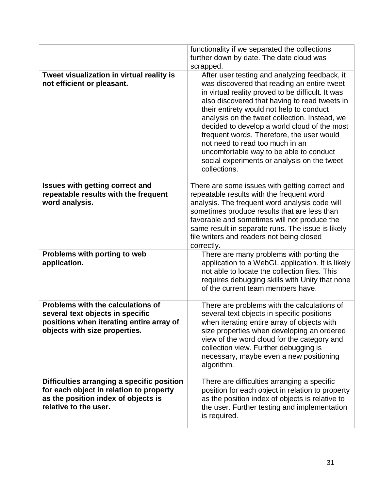|                                                                                                                                                       | functionality if we separated the collections<br>further down by date. The date cloud was<br>scrapped.                                                                                                                                                                                                                                                                                                                                                                                                                                    |
|-------------------------------------------------------------------------------------------------------------------------------------------------------|-------------------------------------------------------------------------------------------------------------------------------------------------------------------------------------------------------------------------------------------------------------------------------------------------------------------------------------------------------------------------------------------------------------------------------------------------------------------------------------------------------------------------------------------|
| Tweet visualization in virtual reality is<br>not efficient or pleasant.                                                                               | After user testing and analyzing feedback, it<br>was discovered that reading an entire tweet<br>in virtual reality proved to be difficult. It was<br>also discovered that having to read tweets in<br>their entirety would not help to conduct<br>analysis on the tweet collection. Instead, we<br>decided to develop a world cloud of the most<br>frequent words. Therefore, the user would<br>not need to read too much in an<br>uncomfortable way to be able to conduct<br>social experiments or analysis on the tweet<br>collections. |
| <b>Issues with getting correct and</b><br>repeatable results with the frequent<br>word analysis.                                                      | There are some issues with getting correct and<br>repeatable results with the frequent word<br>analysis. The frequent word analysis code will<br>sometimes produce results that are less than<br>favorable and sometimes will not produce the<br>same result in separate runs. The issue is likely<br>file writers and readers not being closed<br>correctly.                                                                                                                                                                             |
| Problems with porting to web<br>application.                                                                                                          | There are many problems with porting the<br>application to a WebGL application. It is likely<br>not able to locate the collection files. This<br>requires debugging skills with Unity that none<br>of the current team members have.                                                                                                                                                                                                                                                                                                      |
| Problems with the calculations of<br>several text objects in specific<br>positions when iterating entire array of<br>objects with size properties.    | There are problems with the calculations of<br>several text objects in specific positions<br>when iterating entire array of objects with<br>size properties when developing an ordered<br>view of the word cloud for the category and<br>collection view. Further debugging is<br>necessary, maybe even a new positioning<br>algorithm.                                                                                                                                                                                                   |
| Difficulties arranging a specific position<br>for each object in relation to property<br>as the position index of objects is<br>relative to the user. | There are difficulties arranging a specific<br>position for each object in relation to property<br>as the position index of objects is relative to<br>the user. Further testing and implementation<br>is required.                                                                                                                                                                                                                                                                                                                        |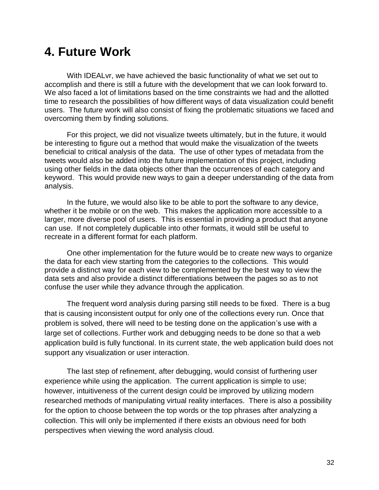# **4. Future Work**

With IDEALvr, we have achieved the basic functionality of what we set out to accomplish and there is still a future with the development that we can look forward to. We also faced a lot of limitations based on the time constraints we had and the allotted time to research the possibilities of how different ways of data visualization could benefit users. The future work will also consist of fixing the problematic situations we faced and overcoming them by finding solutions.

For this project, we did not visualize tweets ultimately, but in the future, it would be interesting to figure out a method that would make the visualization of the tweets beneficial to critical analysis of the data. The use of other types of metadata from the tweets would also be added into the future implementation of this project, including using other fields in the data objects other than the occurrences of each category and keyword. This would provide new ways to gain a deeper understanding of the data from analysis.

In the future, we would also like to be able to port the software to any device, whether it be mobile or on the web. This makes the application more accessible to a larger, more diverse pool of users. This is essential in providing a product that anyone can use. If not completely duplicable into other formats, it would still be useful to recreate in a different format for each platform.

One other implementation for the future would be to create new ways to organize the data for each view starting from the categories to the collections. This would provide a distinct way for each view to be complemented by the best way to view the data sets and also provide a distinct differentiations between the pages so as to not confuse the user while they advance through the application.

The frequent word analysis during parsing still needs to be fixed. There is a bug that is causing inconsistent output for only one of the collections every run. Once that problem is solved, there will need to be testing done on the application's use with a large set of collections. Further work and debugging needs to be done so that a web application build is fully functional. In its current state, the web application build does not support any visualization or user interaction.

The last step of refinement, after debugging, would consist of furthering user experience while using the application. The current application is simple to use; however, intuitiveness of the current design could be improved by utilizing modern researched methods of manipulating virtual reality interfaces. There is also a possibility for the option to choose between the top words or the top phrases after analyzing a collection. This will only be implemented if there exists an obvious need for both perspectives when viewing the word analysis cloud.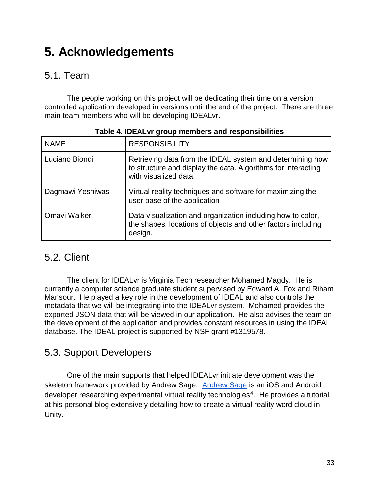# <span id="page-32-0"></span>**5. Acknowledgements**

#### 5.1. Team

The people working on this project will be dedicating their time on a version controlled application developed in versions until the end of the project. There are three main team members who will be developing IDEALvr.

| <b>NAME</b>      | <b>RESPONSIBILITY</b>                                                                                                                               |
|------------------|-----------------------------------------------------------------------------------------------------------------------------------------------------|
| Luciano Biondi   | Retrieving data from the IDEAL system and determining how<br>to structure and display the data. Algorithms for interacting<br>with visualized data. |
| Dagmawi Yeshiwas | Virtual reality techniques and software for maximizing the<br>user base of the application                                                          |
| Omavi Walker     | Data visualization and organization including how to color,<br>the shapes, locations of objects and other factors including<br>design.              |

#### **Table 4. IDEALvr group members and responsibilities**

#### <span id="page-32-1"></span>5.2. Client

The client for IDEALvr is Virginia Tech researcher Mohamed Magdy. He is currently a computer science graduate student supervised by Edward A. Fox and Riham Mansour. He played a key role in the development of IDEAL and also controls the metadata that we will be integrating into the IDEALvr system. Mohamed provides the exported JSON data that will be viewed in our application. He also advises the team on the development of the application and provides constant resources in using the IDEAL database. The IDEAL project is supported by NSF grant #1319578.

#### <span id="page-32-2"></span>5.3. Support Developers

One of the main supports that helped IDEALvr initiate development was the skeleton framework provided by Andrew Sage. Andrew Sage is an iOS and Android developer researching experimental virtual reality technologies<sup>4</sup>. He provides a tutorial at his personal blog extensively detailing how to create a virtual reality word cloud in Unity.